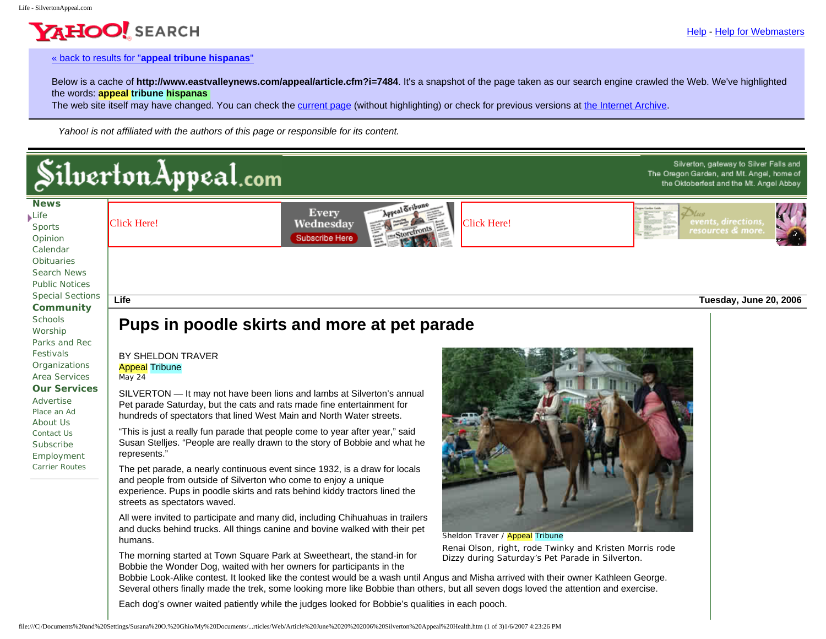Silverton, gateway to Silver Falls and

The Oregon Garden, and Mt. Angel, home of the Oktoberfest and the Mt. Angel Abbey

#### « back to results for "**[appeal tribune hispanas](http://rds.yahoo.com/S=96062901/K=appeal+tribune+hispanas/v=2/SID=e/l=CB/SIG=13dq7b3sn/EXP=1152565124/*-http%3A//search.yahoo.com/search?p=appeal+tribune+hispanas&prssweb=Search&ei=UTF-8&_intl=us)**"

YAHOO! SEARCH

Below is a cache of **http://www.eastvalleynews.com/appeal/article.cfm?i=7484**. It's a snapshot of the page taken as our search engine crawled the Web. We've highlighted the words: **appeal tribune hispanas** 

The web site itself may have changed. You can check the [current page](http://rds.yahoo.com/S=96062901/K=appeal+tribune+hispanas/v=2/SID=e/l=CP/SIG=12b6uu8f5/EXP=1152565124/*-http%3A//www.eastvalleynews.com/appeal/article.cfm?i=7484) (without highlighting) or check for previous versions at [the Internet Archive](http://rds.yahoo.com/S=96062901/K=appeal+tribune+hispanas/v=2/SID=e/l=CWB/SIG=1386e7lg7/EXP=1152565124/*-http%3A//web.archive.org/web/*/http://www.eastvalleynews.com/appeal/article.cfm?i=7484).

*Yahoo! is not affiliated with the authors of this page or responsible for its content.*

# Silverton Appeal.com

**[News](http://www.eastvalleynews.com/appeal/home.cfm) [Life](http://www.eastvalleynews.com/appeal/index_life.cfm)** [Sports](http://www.eastvalleynews.com/appeal/index_sports.cfm) [Opinion](http://www.eastvalleynews.com/appeal/index_opinion.cfm) [Calendar](http://www.eastvalleynews.com/appeal/calendar.cfm) **[Obituaries](http://www.eastvalleynews.com/appeal/index_obituaries.cfm)** [Search News](http://www.eastvalleynews.com/appeal/search_news.cfm) [Public Notices](http://www.eastvalleynews.com/appeal/index_notices.cfm) [Special Sections](http://www.eastvalleynews.com/appeal/sp_sections.cfm) **[Community](http://www.eastvalleynews.com/appeal/index_community.cfm) [Schools](http://www.eastvalleynews.com/appeal/schools.cfm)** [Worship](http://www.eastvalleynews.com/appeal/worship.cfm) [Parks and Rec](http://www.eastvalleynews.com/appeal/recreation.cfm) [Festivals](http://www.eastvalleynews.com/appeal/festivals.cfm) **[Organizations](http://www.eastvalleynews.com/appeal/orgs.cfm)** [Area Services](http://www.eastvalleynews.com/appeal/servclass.cfm) **[Our Services](http://www.eastvalleynews.com/appeal/index_services.cfm)** [Advertise](http://www.eastvalleynews.com/appeal/advertise.cfm) [Place an Ad](http://www.eastvalleynews.com/appeal/placeanad_form.cfm) [About Us](http://www.eastvalleynews.com/appeal/about.cfm) [Contact Us](http://www.eastvalleynews.com/appeal/contact.cfm) [Subscribe](http://www.eastvalleynews.com/appeal/subscribe_form.cfm) [Employment](http://www.eastvalleynews.com/appeal/jobs.cfm) [Carrier Routes](http://www.eastvalleynews.com/appeal/routes.cfm)





**Life Tuesday, June 20, 2006**

## **Pups in poodle skirts and more at pet parade**

BY SHELDON TRAVER Appeal Tribune *May 24*

SILVERTON — It may not have been lions and lambs at Silverton's annual Pet parade Saturday, but the cats and rats made fine entertainment for hundreds of spectators that lined West Main and North Water streets.

"This is just a really fun parade that people come to year after year," said Susan Stelljes. "People are really drawn to the story of Bobbie and what he represents."

The pet parade, a nearly continuous event since 1932, is a draw for locals and people from outside of Silverton who come to enjoy a unique experience. Pups in poodle skirts and rats behind kiddy tractors lined the streets as spectators waved.

All were invited to participate and many did, including Chihuahuas in trailers and ducks behind trucks. All things canine and bovine walked with their pet humans.

The morning started at Town Square Park at Sweetheart, the stand-in for Bobbie the Wonder Dog, waited with her owners for participants in the



Sheldon Traver / Appeal Tribune Renai Olson, right, rode Twinky and Kristen Morris rode Dizzy during Saturday's Pet Parade in Silverton.

Bobbie Look-Alike contest. It looked like the contest would be a wash until Angus and Misha arrived with their owner Kathleen George. Several others finally made the trek, some looking more like Bobbie than others, but all seven dogs loved the attention and exercise.

Each dog's owner waited patiently while the judges looked for Bobbie's qualities in each pooch.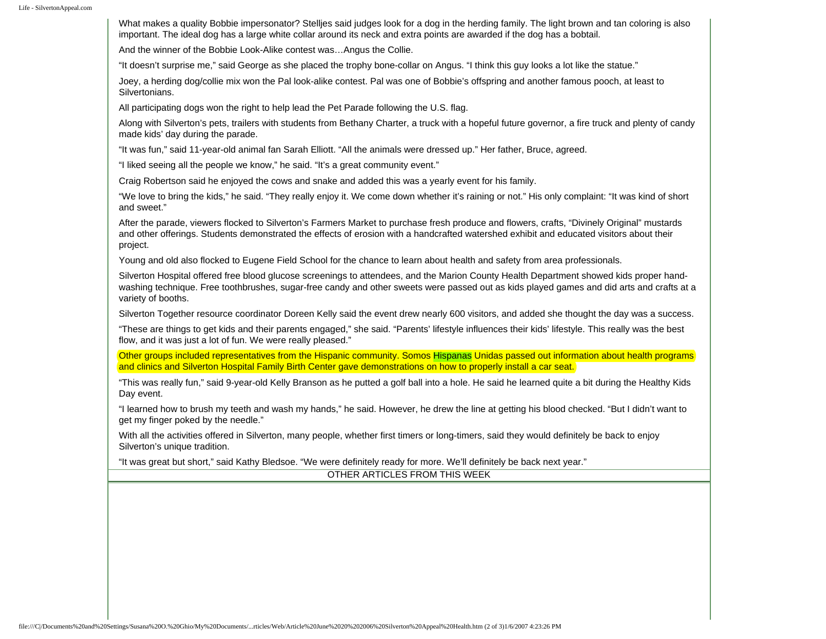What makes a quality Bobbie impersonator? Stelljes said judges look for a dog in the herding family. The light brown and tan coloring is also important. The ideal dog has a large white collar around its neck and extra points are awarded if the dog has a bobtail.

And the winner of the Bobbie Look-Alike contest was…Angus the Collie.

"It doesn't surprise me," said George as she placed the trophy bone-collar on Angus. "I think this guy looks a lot like the statue."

Joey, a herding dog/collie mix won the Pal look-alike contest. Pal was one of Bobbie's offspring and another famous pooch, at least to Silvertonians.

All participating dogs won the right to help lead the Pet Parade following the U.S. flag.

Along with Silverton's pets, trailers with students from Bethany Charter, a truck with a hopeful future governor, a fire truck and plenty of candy made kids' day during the parade.

"It was fun," said 11-year-old animal fan Sarah Elliott. "All the animals were dressed up." Her father, Bruce, agreed.

"I liked seeing all the people we know," he said. "It's a great community event."

Craig Robertson said he enjoyed the cows and snake and added this was a yearly event for his family.

"We love to bring the kids," he said. "They really enjoy it. We come down whether it's raining or not." His only complaint: "It was kind of short and sweet."

After the parade, viewers flocked to Silverton's Farmers Market to purchase fresh produce and flowers, crafts, "Divinely Original" mustards and other offerings. Students demonstrated the effects of erosion with a handcrafted watershed exhibit and educated visitors about their project.

Young and old also flocked to Eugene Field School for the chance to learn about health and safety from area professionals.

Silverton Hospital offered free blood glucose screenings to attendees, and the Marion County Health Department showed kids proper handwashing technique. Free toothbrushes, sugar-free candy and other sweets were passed out as kids played games and did arts and crafts at a variety of booths.

Silverton Together resource coordinator Doreen Kelly said the event drew nearly 600 visitors, and added she thought the day was a success.

"These are things to get kids and their parents engaged," she said. "Parents' lifestyle influences their kids' lifestyle. This really was the best flow, and it was just a lot of fun. We were really pleased."

Other groups included representatives from the Hispanic community. Somos Hispanas Unidas passed out information about health programs and clinics and Silverton Hospital Family Birth Center gave demonstrations on how to properly install a car seat.

"This was really fun," said 9-year-old Kelly Branson as he putted a golf ball into a hole. He said he learned quite a bit during the Healthy Kids Day event.

"I learned how to brush my teeth and wash my hands," he said. However, he drew the line at getting his blood checked. "But I didn't want to get my finger poked by the needle."

With all the activities offered in Silverton, many people, whether first timers or long-timers, said they would definitely be back to enjoy Silverton's unique tradition.

"It was great but short," said Kathy Bledsoe. "We were definitely ready for more. We'll definitely be back next year."

OTHER ARTICLES FROM THIS WEEK